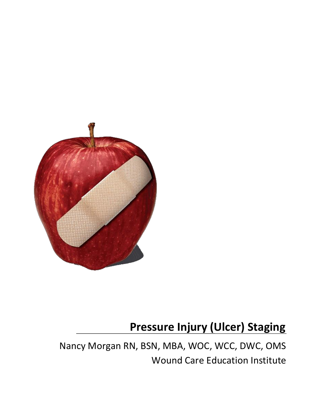

## **Pressure Injury (Ulcer) Staging**

Nancy Morgan RN, BSN, MBA, WOC, WCC, DWC, OMS Wound Care Education Institute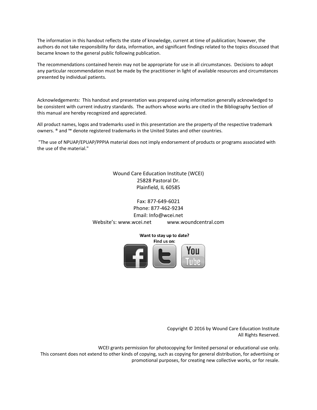The information in this handout reflects the state of knowledge, current at time of publication; however, the authors do not take responsibility for data, information, and significant findings related to the topics discussed that became known to the general public following publication.

The recommendations contained herein may not be appropriate for use in all circumstances. Decisions to adopt any particular recommendation must be made by the practitioner in light of available resources and circumstances presented by individual patients.

Acknowledgements: This handout and presentation was prepared using information generally acknowledged to be consistent with current industry standards. The authors whose works are cited in the Bibliography Section of this manual are hereby recognized and appreciated.

All product names, logos and trademarks used in this presentation are the property of the respective trademark owners. ® and ™ denote registered trademarks in the United States and other countries.

"The use of NPUAP/EPUAP/PPPIA material does not imply endorsement of products or programs associated with the use of the material."

> Wound Care Education Institute (WCEI) 25828 Pastoral Dr. Plainfield, IL 60585

Fax: 877-649-6021 Phone: 877-462-9234 Email: Info@wcei.net Website's: www.wcei.net www.woundcentral.com

> Want to stay up to date? Find us on:

> > Copyright © 2016 by Wound Care Education Institute All Rights Reserved.

WCEI grants permission for photocopying for limited personal or educational use only. This consent does not extend to other kinds of copying, such as copying for general distribution, for advertising or promotional purposes, for creating new collective works, or for resale.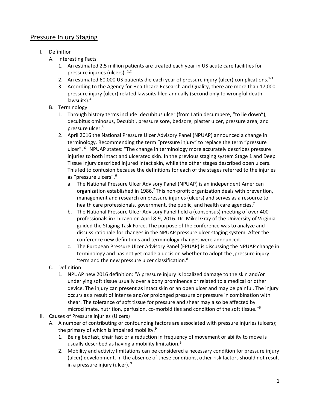## Pressure Injury Staging

- I. Definition
	- A. Interesting Facts
		- 1. An estimated 2.5 million patients are treated each year in US acute care facilities for pressure injuries (ulcers). <sup>1,2</sup>
		- 2. An estimated 60,000 US patients die each year of pressure injury (ulcer) complications. $1-3$
		- 3. According to the Agency for Healthcare Research and Quality, there are more than 17,000 pressure injury (ulcer) related lawsuits filed annually (second only to wrongful death lawsuits).<sup>4</sup>
	- B. Terminology
		- 1. Through history terms include: decubitus ulcer (from Latin decumbere, "to lie down"), decubitus ominosus, Decubiti, pressure sore, bedsore, plaster ulcer, pressure area, and pressure ulcer. 5
		- 2. April 2016 the National Pressure Ulcer Advisory Panel (NPUAP) announced a change in terminology. Recommending the term "pressure injury" to replace the term "pressure ulcer". <sup>6</sup> NPUAP states: "The change in terminology more accurately describes pressure injuries to both intact and ulcerated skin. In the previous staging system Stage 1 and Deep Tissue Injury described injured intact skin, while the other stages described open ulcers. This led to confusion because the definitions for each of the stages referred to the injuries as "pressure ulcers".<sup>6</sup>
			- a. The National Pressure Ulcer Advisory Panel (NPUAP) is an independent American organization established in 1986.<sup>7</sup> This non-profit organization deals with prevention, management and research on pressure injuries (ulcers) and serves as a resource to health care professionals, government, the public, and health care agencies.<sup>7</sup>
			- b. The National Pressure Ulcer Advisory Panel held a (consensus) meeting of over 400 professionals in Chicago on April 8-9, 2016. Dr. Mikel Gray of the University of Virginia guided the Staging Task Force. The purpose of the conference was to analyze and discuss rationale for changes in the NPUAP pressure ulcer staging system. After the conference new definitions and terminology changes were announced.
			- c. The European Pressure Ulcer Advisory Panel (EPUAP) is discussing the NPUAP change in terminology and has not yet made a decision whether to adopt the , pressure injury 'term and the new pressure ulcer classification.<sup>8</sup>
	- C. Definition
		- 1. NPUAP new 2016 definition: "A pressure injury is localized damage to the skin and/or underlying soft tissue usually over a bony prominence or related to a medical or other device. The injury can present as intact skin or an open ulcer and may be painful. The injury occurs as a result of intense and/or prolonged pressure or pressure in combination with shear. The tolerance of soft tissue for pressure and shear may also be affected by microclimate, nutrition, perfusion, co-morbidities and condition of the soft tissue." 6
- II. Causes of Pressure Injuries (Ulcers)
	- A. A number of contributing or confounding factors are associated with pressure injuries (ulcers); the primary of which is impaired mobility.<sup>9</sup>
		- 1. Being bedfast, chair fast or a reduction in frequency of movement or ability to move is usually described as having a mobility limitation.<sup>9</sup>
		- 2. Mobility and activity limitations can be considered a necessary condition for pressure injury (ulcer) development. In the absence of these conditions, other risk factors should not result in a pressure injury (ulcer). 9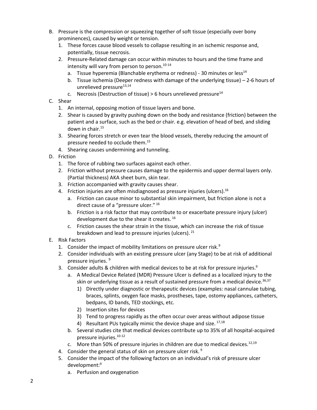- B. Pressure is the compression or squeezing together of soft tissue (especially over bony prominences), caused by weight or tension.
	- 1. These forces cause blood vessels to collapse resulting in an ischemic response and, potentially, tissue necrosis.
	- 2. Pressure-Related damage can occur within minutes to hours and the time frame and intensity will vary from person to person.<sup>10-14</sup>
		- a. Tissue hyperemia (Blanchable erythema or redness) 30 minutes or less<sup>14</sup>
		- b. Tissue ischemia (Deeper redness with damage of the underlying tissue) 2-6 hours of unrelieved pressure<sup>13,14</sup>
		- c. Necrosis (Destruction of tissue) > 6 hours unrelieved pressure<sup>14</sup>
- C. Shear
	- 1. An internal, opposing motion of tissue layers and bone.
	- 2. Shear is caused by gravity pushing down on the body and resistance (friction) between the patient and a surface, such as the bed or chair. e.g. elevation of head of bed, and sliding down in chair.<sup>15</sup>
	- 3. Shearing forces stretch or even tear the blood vessels, thereby reducing the amount of pressure needed to occlude them.<sup>15</sup>
	- 4. Shearing causes undermining and tunneling.
- D. Friction
	- 1. The force of rubbing two surfaces against each other.
	- 2. Friction without pressure causes damage to the epidermis and upper dermal layers only. (Partial thickness) AKA sheet burn, skin tear.
	- 3. Friction accompanied with gravity causes shear.
	- 4. Friction injuries are often misdiagnosed as pressure injuries (ulcers).<sup>16</sup>
		- a. Friction can cause minor to substantial skin impairment, but friction alone is not a direct cause of a "pressure ulcer." <sup>16</sup>
		- b. Friction is a risk factor that may contribute to or exacerbate pressure injury (ulcer) development due to the shear it creates.<sup>16</sup>
		- c. Friction causes the shear strain in the tissue, which can increase the risk of tissue breakdown and lead to pressure injuries (ulcers). <sup>21</sup>
- E. Risk Factors
	- 1. Consider the impact of mobility limitations on pressure ulcer risk. $9$
	- 2. Consider individuals with an existing pressure ulcer (any Stage) to be at risk of additional pressure injuries. 9
	- 3. Consider adults & children with medical devices to be at risk for pressure injuries.<sup>9</sup>
		- a. A Medical Device Related (MDR) Pressure Ulcer is defined as a localized injury to the skin or underlying tissue as a result of sustained pressure from a medical device.  $36,37$ 
			- 1) Directly under diagnostic or therapeutic devices (examples: nasal cannulae tubing, braces, splints, oxygen face masks, prostheses, tape, ostomy appliances, catheters, bedpans, ID bands, TED stockings, etc.
			- 2) Insertion sites for devices
			- 3) Tend to progress rapidly as the often occur over areas without adipose tissue
			- 4) Resultant PUs typically mimic the device shape and size.  $17,18$
		- b. Several studies cite that medical devices contribute up to 35% of all hospital-acquired pressure injuries. 10-12
		- c. More than 50% of pressure injuries in children are due to medical devices.<sup>12,19</sup>
	- 4. Consider the general status of skin on pressure ulcer risk.<sup>9</sup>
	- 5. Consider the impact of the following factors on an individual's risk of pressure ulcer development:<sup>9</sup>
		- a. Perfusion and oxygenation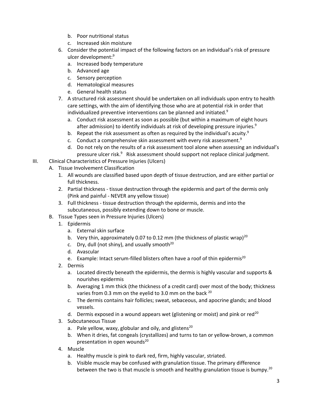- b. Poor nutritional status
- c. Increased skin moisture
- 6. Consider the potential impact of the following factors on an individual's risk of pressure ulcer development:<sup>9</sup>
	- a. Increased body temperature
	- b. Advanced age
	- c. Sensory perception
	- d. Hematological measures
	- e. General health status
- 7. A structured risk assessment should be undertaken on all individuals upon entry to health care settings, with the aim of identifying those who are at potential risk in order that individualized preventive interventions can be planned and initiated.<sup>9</sup>
	- a. Conduct risk assessment as soon as possible (but within a maximum of eight hours after admission) to identify individuals at risk of developing pressure injuries.<sup>9</sup>
	- b. Repeat the risk assessment as often as required by the individual's acuity.<sup>9</sup>
	- c. Conduct a comprehensive skin assessment with every risk assessment.<sup>9</sup>
	- d. Do not rely on the results of a risk assessment tool alone when assessing an individual's pressure ulcer risk.<sup>9</sup> Risk assessment should support not replace clinical judgment.
- III. Clinical Characteristics of Pressure Injuries (Ulcers)
	- A. Tissue Involvement Classification
		- 1. All wounds are classified based upon depth of tissue destruction, and are either partial or full thickness.
		- 2. Partial thickness tissue destruction through the epidermis and part of the dermis only (Pink and painful - NEVER any yellow tissue)
		- 3. Full thickness tissue destruction through the epidermis, dermis and into the subcutaneous, possibly extending down to bone or muscle.
	- B. Tissue Types seen in Pressure Injuries (Ulcers)
		- 1. Epidermis
			- a. External skin surface
			- b. Very thin, approximately 0.07 to 0.12 mm (the thickness of plastic wrap)<sup>20</sup>
			- c. Dry, dull (not shiny), and usually smooth $^{20}$
			- d. Avascular
			- e. Example: Intact serum-filled blisters often have a roof of thin epidermis<sup>20</sup>
		- 2. Dermis
			- a. Located directly beneath the epidermis, the dermis is highly vascular and supports & nourishes epidermis
			- b. Averaging 1 mm thick (the thickness of a credit card) over most of the body; thickness varies from 0.3 mm on the eyelid to 3.0 mm on the back <sup>20</sup>
			- c. The dermis contains hair follicles; sweat, sebaceous, and apocrine glands; and blood vessels.
			- d. Dermis exposed in a wound appears wet (glistening or moist) and pink or red<sup>20</sup>
		- 3. Subcutaneous Tissue
			- a. Pale yellow, waxy, globular and oily, and glistens<sup>20</sup>
			- b. When it dries, fat congeals (crystallizes) and turns to tan or yellow-brown, a common presentation in open wounds $^{20}$
		- 4. Muscle
			- a. Healthy muscle is pink to dark red, firm, highly vascular, striated.
			- b. Visible muscle may be confused with granulation tissue. The primary difference between the two is that muscle is smooth and healthy granulation tissue is bumpy.<sup>20</sup>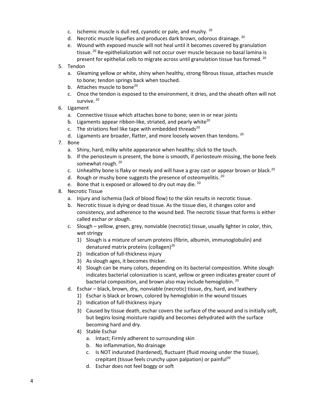- c. Ischemic muscle is dull red, cyanotic or pale, and mushy. <sup>20</sup>
- d. Necrotic muscle liquefies and produces dark brown, odorous drainage. <sup>20</sup>
- e. Wound with exposed muscle will not heal until it becomes covered by granulation tissue.<sup>20</sup> Re-epithelialization will not occur over muscle because no basal lamina is present for epithelial cells to migrate across until granulation tissue has formed.<sup>20</sup>
- 5. Tendon
	- a. Gleaming yellow or white, shiny when healthy, strong fibrous tissue, attaches muscle to bone; tendon springs back when touched.
	- b. Attaches muscle to bone<sup>20</sup>
	- c. Once the tendon is exposed to the environment, it dries, and the sheath often will not survive.<sup>20</sup>
- 6. Ligament
	- a. Connective tissue which attaches bone to bone; seen in or near joints
	- b. Ligaments appear ribbon-like, striated, and pearly white $^{20}$
	- c. The striations feel like tape with embedded threads $^{20}$
	- d. Ligaments are broader, flatter, and more loosely woven than tendons.  $^{20}$
- 7. Bone
	- a. Shiny, hard, milky white appearance when healthy; slick to the touch.
	- b. If the periosteum is present, the bone is smooth, if periosteum missing, the bone feels somewhat rough.<sup>20</sup>
	- c. Unhealthy bone is flaky or mealy and will have a gray cast or appear brown or black.<sup>20</sup>
	- d. Rough or mushy bone suggests the presence of osteomyelitis.  $20$
	- e. Bone that is exposed or allowed to dry out may die. 20
- 8. Necrotic Tissue
	- a. Injury and ischemia (lack of blood flow) to the skin results in necrotic tissue.
	- b. Necrotic tissue is dying or dead tissue. As the tissue dies, it changes color and consistency, and adherence to the wound bed. The necrotic tissue that forms is either called eschar or slough.
	- c. Slough yellow, green, grey, nonviable (necrotic) tissue, usually lighter in color, thin, wet stringy
		- 1) Slough is a mixture of serum proteins (fibrin, albumin, immunoglobulin) and denatured matrix proteins (collagen)<sup>20</sup>
		- 2) Indication of full-thickness injury
		- 3) As slough ages, it becomes thicker.
		- 4) Slough can be many colors, depending on its bacterial composition. White slough indicates bacterial colonization is scant, yellow or green indicates greater count of bacterial composition, and brown also may include hemoglobin.<sup>20</sup>
	- d. Eschar black, brown, dry, nonviable (necrotic) tissue, dry, hard, and leathery
		- 1) Eschar is black or brown, colored by hemoglobin in the wound tissues
		- 2) Indication of full-thickness injury
		- 3) Caused by tissue death, eschar covers the surface of the wound and is initially soft, but begins losing moisture rapidly and becomes dehydrated with the surface becoming hard and dry.
		- 4) Stable Eschar
			- a. Intact; Firmly adherent to surrounding skin
			- b. No inflammation, No drainage
			- c. Is NOT indurated (hardened), fluctuant (fluid moving under the tissue), crepitant (tissue feels crunchy upon palpation) or painful<sup>20</sup>
			- d. Eschar does not feel boggy or soft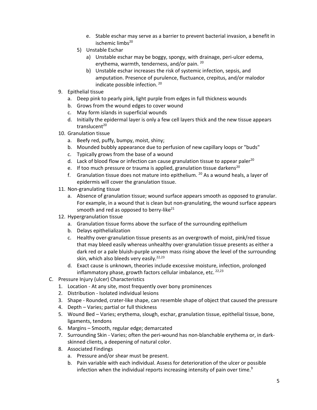- e. Stable eschar may serve as a barrier to prevent bacterial invasion, a benefit in ischemic limbs<sup>20</sup>
- 5) Unstable Eschar
	- a) Unstable eschar may be boggy, spongy, with drainage, peri-ulcer edema, erythema, warmth, tenderness, and/or pain. <sup>20</sup>
	- b) Unstable eschar increases the risk of systemic infection, sepsis, and amputation. Presence of purulence, fluctuance, crepitus, and/or malodor indicate possible infection. <sup>20</sup>
- 9. Epithelial tissue
	- a. Deep pink to pearly pink, light purple from edges in full thickness wounds
	- b. Grows from the wound edges to cover wound
	- c. May form islands in superficial wounds
	- d. Initially the epidermal layer is only a few cell layers thick and the new tissue appears translucent $20$
- 10. Granulation tissue
	- a. Beefy red, puffy, bumpy, moist, shiny;
	- b. Mounded bubbly appearance due to perfusion of new capillary loops or "buds"
	- c. Typically grows from the base of a wound
	- d. Lack of blood flow or infection can cause granulation tissue to appear paler<sup>20</sup>
	- e. If too much pressure or trauma is applied, granulation tissue darkens<sup>20</sup>
	- f. Granulation tissue does not mature into epithelium.  $20$  As a wound heals, a layer of epidermis will cover the granulation tissue.
- 11. Non-granulating tissue
	- a. Absence of granulation tissue; wound surface appears smooth as opposed to granular. For example, in a wound that is clean but non-granulating, the wound surface appears smooth and red as opposed to berry-like $^{21}$
- 12. Hypergranulation tissue
	- a. Granulation tissue forms above the surface of the surrounding epithelium
	- b. Delays epithelialization
	- c. Healthy over-granulation tissue presents as an overgrowth of moist, pink/red tissue that may bleed easily whereas unhealthy over-granulation tissue presents as either a dark red or a pale bluish-purple uneven mass rising above the level of the surrounding skin, which also bleeds very easily.<sup>22,23</sup>
	- d. Exact cause is unknown, theories include excessive moisture, infection, prolonged inflammatory phase, growth factors cellular imbalance, etc.  $22,23$
- C. Pressure Injury (ulcer) Characteristics
	- 1. Location At any site, most frequently over bony prominences
	- 2. Distribution Isolated individual lesions
	- 3. Shape Rounded, crater-like shape, can resemble shape of object that caused the pressure
	- 4. Depth Varies; partial or full thickness
	- 5. Wound Bed Varies; erythema, slough, eschar, granulation tissue, epithelial tissue, bone, ligaments, tendons
	- 6. Margins Smooth, regular edge; demarcated
	- 7. Surrounding Skin Varies; often the peri-wound has non-blanchable erythema or, in darkskinned clients, a deepening of natural color.
	- 8. Associated Findings
		- a. Pressure and/or shear must be present.
		- b. Pain variable with each individual. Assess for deterioration of the ulcer or possible infection when the individual reports increasing intensity of pain over time. $9$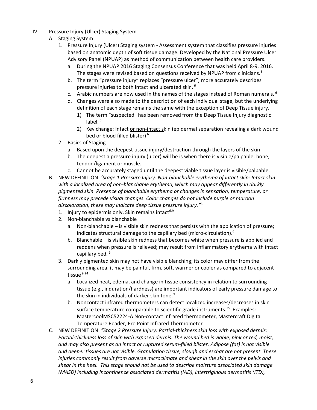- IV. Pressure Injury (Ulcer) Staging System
	- A. Staging System
		- 1. Pressure Injury (Ulcer) Staging system Assessment system that classifies pressure injuries based on anatomic depth of soft tissue damage. Developed by the National Pressure Ulcer Advisory Panel (NPUAP) as method of communication between health care providers.
			- a. During the NPUAP 2016 Staging Consensus Conference that was held April 8-9, 2016. The stages were revised based on questions received by NPUAP from clinicians.<sup>6</sup>
			- b. The term "pressure injury" replaces "pressure ulcer"; more accurately describes pressure injuries to both intact and ulcerated skin. <sup>6</sup>
			- c. Arabic numbers are now used in the names of the stages instead of Roman numerals.<sup>6</sup>
			- d. Changes were also made to the description of each individual stage, but the underlying definition of each stage remains the same with the exception of Deep Tissue injury.
				- 1) The term "suspected" has been removed from the Deep Tissue Injury diagnostic label. $6$
				- 2) Key change: Intact or non-intact skin (epidermal separation revealing a dark wound bed or blood filled blister) <sup>6</sup>
		- 2. Basics of Staging
			- a. Based upon the deepest tissue injury/destruction through the layers of the skin
			- b. The deepest a pressure injury (ulcer) will be is when there is visible/palpable: bone, tendon/ligament or muscle.
			- c. Cannot be accurately staged until the deepest viable tissue layer is visible/palpable.
	- B. NEW DEFINITION: *'Stage 1 Pressure Injury: Non-blanchable erythema of intact skin: Intact skin with a localized area of non-blanchable erythema, which may appear differently in darkly pigmented skin. Presence of blanchable erythema or changes in sensation, temperature, or firmness may precede visual changes. Color changes do not include purple or maroon discoloration; these may indicate deep tissue pressure injury."* 6
		- 1. Injury to epidermis only, Skin remains intact<sup>6,9</sup>
		- 2. Non-blanchable vs blanchable
			- a. Non-blanchable is visible skin redness that persists with the application of pressure; indicates structural damage to the capillary bed (micro-circulation).<sup>9</sup>
			- b. Blanchable is visible skin redness that becomes white when pressure is applied and reddens when pressure is relieved; may result from inflammatory erythema with intact capillary bed.<sup>9</sup>
		- 3. Darkly pigmented skin may not have visible blanching; its color may differ from the surrounding area, it may be painful, firm, soft, warmer or cooler as compared to adjacent tissue 9,24
			- a. Localized heat, edema, and change in tissue consistency in relation to surrounding tissue (e.g., induration/hardness) are important indicators of early pressure damage to the skin in individuals of darker skin tone.<sup>9</sup>
			- b. Noncontact infrared thermometers can detect localized increases/decreases in skin surface temperature comparable to scientific grade instruments.<sup>25</sup> Examples: MastercoolMSC52224-A Non-contact infrared thermometer, Mastercraft Digital Temperature Reader, Pro Point Infrared Thermometer
	- C. NEW DEFINITION: *"Stage 2 Pressure Injury: Partial-thickness skin loss with exposed dermis: Partial-thickness loss of skin with exposed dermis. The wound bed is viable, pink or red, moist, and may also present as an intact or ruptured serum-filled blister. Adipose (fat) is not visible and deeper tissues are not visible. Granulation tissue, slough and eschar are not present. These injuries commonly result from adverse microclimate and shear in the skin over the pelvis and shear in the heel. This stage should not be used to describe moisture associated skin damage (MASD) including incontinence associated dermatitis (IAD), intertriginous dermatitis (ITD),*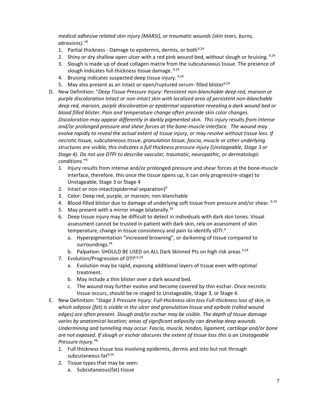*medical adhesive related skin injury (MARSI), or traumatic wounds (skin tears, burns, abrasions)."* 6

- 1. Partial thickness Damage to epidermis, dermis, or both  $9,24$
- 2. Shiny or dry shallow open ulcer with a red pink wound bed, without slough or bruising.  $9,24$
- 3. Slough is made up of dead collagen matrix from the subcutaneous tissue. The presence of slough indicates full thickness tissue damage. 9,24
- 4. Bruising indicates suspected deep tissue injury. 9,24
- 5. May also present as an intact or open/ruptured serum- filled blister $9,24$
- D. New Definition: "*Deep Tissue Pressure Injury: Persistent non-blanchable deep red, maroon or purple discoloration Intact or non-intact skin with localized area of persistent non-blanchable deep red, maroon, purple discoloration or epidermal separation revealing a dark wound bed or blood filled blister. Pain and temperature change often precede skin color changes. Discoloration may appear differently in darkly pigmented skin. This injury results from intense and/or prolonged pressure and shear forces at the bone-muscle interface. The wound may evolve rapidly to reveal the actual extent of tissue injury, or may resolve without tissue loss. If necrotic tissue, subcutaneous tissue, granulation tissue, fascia, muscle or other underlying structures are visible, this indicates a full thickness pressure injury (Unstageable, Stage 3 or Stage 4). Do not use DTPI to describe vascular, traumatic, neuropathic, or dermatologic conditions*." 6
	- 1. Injury results from intense and/or prolonged pressure and shear forces at the bone-muscle interface, therefore, this once the tissue opens up, it can only progress(re-stage) to Unstageable, Stage 3 or Stage 4
	- 2. Intact or non-intact(epidermal separation) $6$
	- 3. Color: Deep red, purple, or maroon; non-blanchable
	- 4. Blood-filled blister due to damage of underlying soft tissue from pressure and/or shear.  $9.24$
	- 5. May present with a mirror image bilaterally.<sup>26</sup>
	- 6. Deep tissue injury may be difficult to detect in individuals with dark skin tones. Visual assessment cannot be trusted in patient with dark skin, rely on assessment of skin temperature, change in tissue consistency and pain to identify sDTI.<sup>9</sup>
		- a. Hyperpigmentation "increased browning", or darkening of tissue compared to surroundings.<sup>24</sup>
		- b. Palpation: SHOULD BE USED on ALL Dark Skinned Pts on high risk areas.<sup>9,24</sup>
	- 7. Evolution/Progression of DTI<sup>6,9,24</sup>
		- a. Evolution may be rapid, exposing additional layers of tissue even with optimal treatment.
		- b. May include a thin blister over a dark wound bed.
		- c. The wound may further evolve and become covered by thin eschar. Once necrotic tissue occurs, should be re-staged to Unstageable, Stage 3, or Stage 4.
- E. New Definition: "*Stage 3 Pressure Injury: Full-thickness skin loss Full-thickness loss of skin, in which adipose (fat) is visible in the ulcer and granulation tissue and epibole (rolled wound edges) are often present. Slough and/or eschar may be visible. The depth of tissue damage varies by anatomical location; areas of significant adiposity can develop deep wounds. Undermining and tunneling may occur. Fascia, muscle, tendon, ligament, cartilage and/or bone are not exposed. If slough or eschar obscures the extent of tissue loss this is an Unstageable Pressure Injury."* 6
	- 1. Full thickness tissue loss involving epidermis, dermis and into but not through subcutaneous fat<sup>9,24</sup>
	- 2. Tissue types that may be seen:
		- a. Subcutaneous(fat) tissue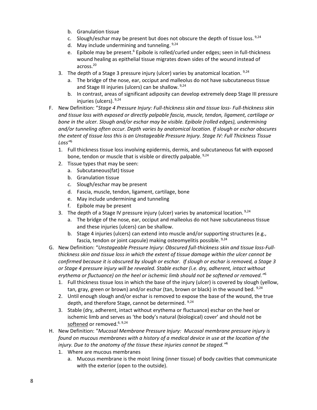- b. Granulation tissue
- c. Slough/eschar may be present but does not obscure the depth of tissue loss. 9,24
- d. May include undermining and tunneling. 9,24
- e. Epibole may be present.<sup>6</sup> Epibole is rolled/curled under edges; seen in full-thickness wound healing as epithelial tissue migrates down sides of the wound instead of across. 20
- 3. The depth of a Stage 3 pressure injury (ulcer) varies by anatomical location.  $9,24$ 
	- a. The bridge of the nose, ear, occiput and malleolus do not have subcutaneous tissue and Stage III injuries (ulcers) can be shallow. 9,24
	- b. In contrast, areas of significant adiposity can develop extremely deep Stage III pressure injuries (ulcers). 9,24
- F. New Definition: "*Stage 4 Pressure Injury: Full-thickness skin and tissue loss- Full-thickness skin and tissue loss with exposed or directly palpable fascia, muscle, tendon, ligament, cartilage or bone in the ulcer. Slough and/or eschar may be visible. Epibole (rolled edges), undermining and/or tunneling often occur. Depth varies by anatomical location. If slough or eschar obscures the extent of tissue loss this is an Unstageable Pressure Injury. Stage IV: Full Thickness Tissue Loss"* 6
	- 1. Full thickness tissue loss involving epidermis, dermis, and subcutaneous fat with exposed bone, tendon or muscle that is visible or directly palpable. <sup>9,24</sup>
	- 2. Tissue types that may be seen:
		- a. Subcutaneous(fat) tissue
		- b. Granulation tissue
		- c. Slough/eschar may be present
		- d. Fascia, muscle, tendon, ligament, cartilage, bone
		- e. May include undermining and tunneling
		- f. Epibole may be present
	- 3. The depth of a Stage IV pressure injury (ulcer) varies by anatomical location.  $9,24$ 
		- a. The bridge of the nose, ear, occiput and malleolus do not have subcutaneous tissue and these injuries (ulcers) can be shallow.
		- b. Stage 4 injuries (ulcers) can extend into muscle and/or supporting structures (e.g., fascia, tendon or joint capsule) making osteomyelitis possible. 9,24
- G. New Definition: "*Unstageable Pressure Injury: Obscured full-thickness skin and tissue loss-Fullthickness skin and tissue loss in which the extent of tissue damage within the ulcer cannot be confirmed because it is obscured by slough or eschar. If slough or eschar is removed, a Stage 3 or Stage 4 pressure injury will be revealed. Stable eschar (i.e. dry, adherent, intact without erythema or fluctuance) on the heel or ischemic limb should not be softened or removed."* 6
	- 1. Full thickness tissue loss in which the base of the injury (ulcer) is covered by slough (yellow, tan, gray, green or brown) and/or eschar (tan, brown or black) in the wound bed.  $9,24$
	- 2. Until enough slough and/or eschar is removed to expose the base of the wound, the true depth, and therefore Stage, cannot be determined. <sup>9,24</sup>
	- 3. Stable (dry, adherent, intact without erythema or fluctuance) eschar on the heel or ischemic limb and serves as 'the body's natural (biological) cover' and should not be softened or removed.<sup>6, 9,24</sup>
- H. New Definition: "*Mucosal Membrane Pressure Injury: Mucosal membrane pressure injury is found on mucous membranes with a history of a medical device in use at the location of the injury. Due to the anatomy of the tissue these injuries cannot be staged."* 6
	- 1. Where are mucous membranes
		- a. Mucous membrane is the moist lining (inner tissue) of body cavities that communicate with the exterior (open to the outside).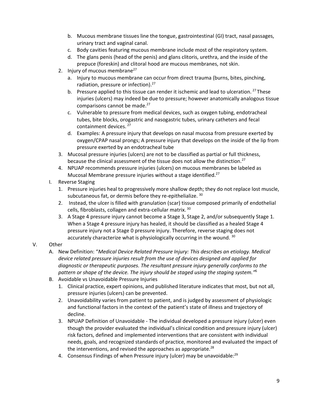- b. Mucous membrane tissues line the tongue, gastrointestinal (GI) tract, nasal passages, urinary tract and vaginal canal.
- c. Body cavities featuring mucous membrane include most of the respiratory system.
- d. The glans penis (head of the penis) and glans clitoris, urethra, and the inside of the prepuce (foreskin) and clitoral hood are mucous membranes, not skin.
- 2. Injury of mucous membrane $27$ 
	- a. Injury to mucous membrane can occur from direct trauma (burns, bites, pinching, radiation, pressure or infection).<sup>27</sup>
	- b. Pressure applied to this tissue can render it ischemic and lead to ulceration.  $^{27}$  These injuries (ulcers) may indeed be due to pressure; however anatomically analogous tissue comparisons cannot be made.<sup>27</sup>
	- c. Vulnerable to pressure from medical devices, such as oxygen tubing, endotracheal tubes, bite blocks, orogastric and nasogastric tubes, urinary catheters and fecal containment devices. <sup>27</sup>
	- d. Examples: A pressure injury that develops on nasal mucosa from pressure exerted by oxygen/CPAP nasal prongs; A pressure injury that develops on the inside of the lip from pressure exerted by an endotracheal tube
- 3. Mucosal pressure injuries (ulcers) are not to be classified as partial or full thickness, because the clinical assessment of the tissue does not allow the distinction.<sup>27</sup>
- 4. NPUAP recommends pressure injuries (ulcers) on mucous membranes be labeled as Mucosal Membrane pressure injuries without a stage identified.<sup>27</sup>
- I. Reverse Staging
	- 1. Pressure injuries heal to progressively more shallow depth; they do not replace lost muscle, subcutaneous fat, or dermis before they re-epithelialize. 30
	- 2. Instead, the ulcer is filled with granulation (scar) tissue composed primarily of endothelial cells, fibroblasts, collagen and extra-cellular matrix. <sup>30</sup>
	- 3. A Stage 4 pressure injury cannot become a Stage 3, Stage 2, and/or subsequently Stage 1. When a Stage 4 pressure injury has healed, it should be classified as a healed Stage 4 pressure injury not a Stage 0 pressure injury. Therefore, reverse staging does not accurately characterize what is physiologically occurring in the wound.  $30$

## V. Other

- A. New Definition: "*Medical Device Related Pressure Injury: This describes an etiology. Medical device related pressure injuries result from the use of devices designed and applied for diagnostic or therapeutic purposes. The resultant pressure injury generally conforms to the pattern or shape of the device. The injury should be staged using the staging system."* 6
- B. Avoidable vs Unavoidable Pressure Injuries
	- 1. Clinical practice, expert opinions, and published literature indicates that most, but not all, pressure injuries (ulcers) can be prevented.
	- 2. Unavoidability varies from patient to patient, and is judged by assessment of physiologic and functional factors in the context of the patient's state of illness and trajectory of decline.
	- 3. NPUAP Definition of Unavoidable The individual developed a pressure injury (ulcer) even though the provider evaluated the individual's clinical condition and pressure injury (ulcer) risk factors, defined and implemented interventions that are consistent with individual needs, goals, and recognized standards of practice, monitored and evaluated the impact of the interventions, and revised the approaches as appropriate. $^{28}$
	- 4. Consensus Findings of when Pressure injury (ulcer) may be unavoidable:<sup>29</sup>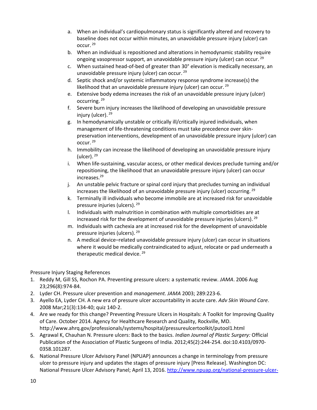- a. When an individual's cardiopulmonary status is significantly altered and recovery to baseline does not occur within minutes, an unavoidable pressure injury (ulcer) can occur. <sup>29</sup>
- b. When an individual is repositioned and alterations in hemodynamic stability require ongoing vasopressor support, an unavoidable pressure injury (ulcer) can occur. <sup>29</sup>
- c. When sustained head-of-bed of greater than 30° elevation is medically necessary, an unavoidable pressure injury (ulcer) can occur. <sup>29</sup>
- d. Septic shock and/or systemic inflammatory response syndrome increase(s) the likelihood that an unavoidable pressure injury (ulcer) can occur.  $29$
- e. Extensive body edema increases the risk of an unavoidable pressure injury (ulcer) occurring. <sup>29</sup>
- f. Severe burn injury increases the likelihood of developing an unavoidable pressure injury (ulcer). 29
- g. In hemodynamically unstable or critically ill/critically injured individuals, when management of life-threatening conditions must take precedence over skinpreservation interventions, development of an unavoidable pressure injury (ulcer) can occur. <sup>29</sup>
- h. Immobility can increase the likelihood of developing an unavoidable pressure injury (ulcer).<sup>29</sup>
- i. When life-sustaining, vascular access, or other medical devices preclude turning and/or repositioning, the likelihood that an unavoidable pressure injury (ulcer) can occur increases.<sup>29</sup>
- j. An unstable pelvic fracture or spinal cord injury that precludes turning an individual increases the likelihood of an unavoidable pressure injury (ulcer) occurring. <sup>29</sup>
- k. Terminally ill individuals who become immobile are at increased risk for unavoidable pressure injuries (ulcers). 29
- l. Individuals with malnutrition in combination with multiple comorbidities are at increased risk for the development of unavoidable pressure injuries (ulcers). 29
- m. Individuals with cachexia are at increased risk for the development of unavoidable pressure injuries (ulcers). 29
- n. A medical device–related unavoidable pressure injury (ulcer) can occur in situations where it would be medically contraindicated to adjust, relocate or pad underneath a therapeutic medical device.<sup>29</sup>

Pressure Injury Staging References

- 1. Reddy M, Gill SS, Rochon PA. Preventing pressure ulcers: a systematic review. *JAMA*. 2006 Aug 23;296(8):974-84.
- 2. Lyder CH. Pressure ulcer prevention and *management. JAMA* 2003; 289:223-6.
- 3. Ayello EA, Lyder CH. A new era of pressure ulcer accountability in acute care. *Adv Skin Wound Care*. 2008 Mar;21(3):134-40; quiz 140-2.
- 4. Are we ready for this change? Preventing Pressure Ulcers in Hospitals: A Toolkit for Improving Quality of Care. October 2014. Agency for Healthcare Research and Quality, Rockville, MD. http://www.ahrq.gov/professionals/systems/hospital/pressureulcertoolkit/putool1.html
- 5. Agrawal K, Chauhan N. Pressure ulcers: Back to the basics. *Indian Journal of Plastic Surgery:* Official Publication of the Association of Plastic Surgeons of India. 2012;45(2):244-254. doi:10.4103/0970- 0358.101287.
- 6. National Pressure Ulcer Advisory Panel (NPUAP) announces a change in terminology from pressure ulcer to pressure injury and updates the stages of pressure injury [Press Release]. Washington DC: National Pressure Ulcer Advisory Panel; April 13, 2016. [http://www.npuap.org/national-pressure-ulcer-](http://www.npuap.org/national-pressure-ulcer-advisory-panel-npuap-announces-a-change-in-terminology-from-pressure-ulcer-to-pressure-injury-and-updates-the-stages-of-pressure-injury/)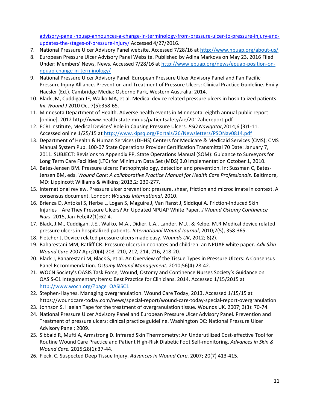[advisory-panel-npuap-announces-a-change-in-terminology-from-pressure-ulcer-to-pressure-injury-and](http://www.npuap.org/national-pressure-ulcer-advisory-panel-npuap-announces-a-change-in-terminology-from-pressure-ulcer-to-pressure-injury-and-updates-the-stages-of-pressure-injury/)[updates-the-stages-of-pressure-injury/](http://www.npuap.org/national-pressure-ulcer-advisory-panel-npuap-announces-a-change-in-terminology-from-pressure-ulcer-to-pressure-injury-and-updates-the-stages-of-pressure-injury/) Accessed 4/27/2016.

- 7. National Pressure Ulcer Advisory Panel website. Accessed 7/28/16 a[t http://www.npuap.org/about-us/](http://www.npuap.org/about-us/)
- 8. European Pressure Ulcer Advisory Panel Website. Published by Adina Markova on May 23, 2016 Filed Under: Members' News, News. Accessed 7/28/16 at [http://www.epuap.org/news/epuap-position-on](http://www.epuap.org/news/epuap-position-on-npuap-change-in-terminology/)[npuap-change-in-terminology/](http://www.epuap.org/news/epuap-position-on-npuap-change-in-terminology/)
- 9. National Pressure Ulcer Advisory Panel, European Pressure Ulcer Advisory Panel and Pan Pacific Pressure Injury Alliance. Prevention and Treatment of Pressure Ulcers: Clinical Practice Guideline. Emily Haesler (Ed.). Cambridge Media: Osborne Park, Western Australia; 2014.
- 10. Black JM, Cuddigan JE, Walko MA, et al. Medical device related pressure ulcers in hospitalized patients. *Int Wound J* 2010 Oct;7(5):358-65.
- 11. Minnesota Department of Health. Adverse health events in Minnesota: eighth annual public report [online]. 2012 http://www.health.state.mn.us/patientsafety/ae/2012ahereport.pdf
- 12. ECRI Institute, Medical Devices' Role in Causing Pressure Ulcers. *PSO Navigator*,2014;6 (3)1-11. Accessed online 1/25/15 a[t http://www.kipsq.org/Portals/26/Newsletters/PSONav0814.pdf](http://www.kipsq.org/Portals/26/Newsletters/PSONav0814.pdf)
- 13. Department of Health & Human Services (DHHS) Centers for Medicare & Medicaid Services (CMS); CMS Manual System Pub. 100-07 State Operations Provider Certification Transmittal 70 Date: January 7, 2011. SUBJECT: Revisions to Appendix PP, State Operations Manual (SOM): Guidance to Surveyors for Long Term Care Facilities (LTC) for Minimum Data Set (MDS) 3.0 Implementation October 1, 2010.
- 14. Bates-Jensen BM. Pressure ulcers: Pathophysiology, detection and prevention. In: Sussman C, Bates-Jensen BM, eds. *Wound Care: A collaborative Practice Manual for Health Care Professionals*. Baltimore, MD: Lippincott Williams & Wilkins; 2013,2: 230-277.
- 15. International review. Pressure ulcer prevention: pressure, shear, friction and microclimate in context. A consensus document. London: *Wounds International*, 2010.
- 16. Brienza D, Antokal S, Herbe L, Logan S, Maguire J, Van Ranst J, Siddiqui A. Friction-Induced Skin Injuries—Are They Pressure Ulcers? An Updated NPUAP White Paper. *J Wound Ostomy Continence Nurs*. 2015, Jan-Feb;42(1):62-4.
- 17. Black, J.M., Cuddigan, J.E., Walko, M.A., Didier, L.A., Lander, M.J., & Kelpe, M.R Medical device related pressure ulcers in hospitalized patients. *International Wound Journal*, 2010;7(5), 358-365.
- 18. Fletcher J, Device related pressure ulcers made easy. *Wounds UK*, 2012; 8(2).
- 19. Baharestani MM, Ratliff CR. Pressure ulcers in neonates and children: an NPUAP white paper. *Adv Skin Wound Care* 2007 Apr;20(4):208, 210, 212, 214, 216, 218-20.
- 20. Black J, Baharestani M, Black S, et al. An Overview of the Tissue Types in Pressure Ulcers: A Consensus Panel Recommendation. *Ostomy Wound Management.* 2010;56(4):28-42.
- 21. WOCN Society's OASIS Task Force, Wound, Ostomy and Continence Nurses Society's Guidance on OASIS-C1 Integumentary Items: Best Practice for Clinicians. 2014. Accessed 1/15/2015 at <http://www.wocn.org/?page=OASISC1>
- 22. Stephen-Haynes. Managing overgranulation. Wound Care Today, 2013. Accessed 1/15/15 at https://woundcare-today.com/news/special-report/wound-care-today-special-report-overgranulation
- 23. Johnson S. Haelan Tape for the treatment of overgranulation tissue. Wounds UK. 2007; 3(3): 70-74.
- 24. National Pressure Ulcer Advisory Panel and European Pressure Ulcer Advisory Panel. Prevention and Treatment of pressure ulcers: clinical practice guideline. Washington DC: National Pressure Ulcer Advisory Panel; 2009.
- 25. Sibbald R, Mufti A, Armstrong D. Infrared Skin Thermometry: An Underutilized Cost-effective Tool for Routine Wound Care Practice and Patient High-Risk Diabetic Foot Self-monitoring. *Advances in Skin & Wound Care.* 2015;28(1):37-44.
- 26. Fleck, C. Suspected Deep Tissue Injury. *Advances in Wound Care*. 2007; 20(7) 413-415.